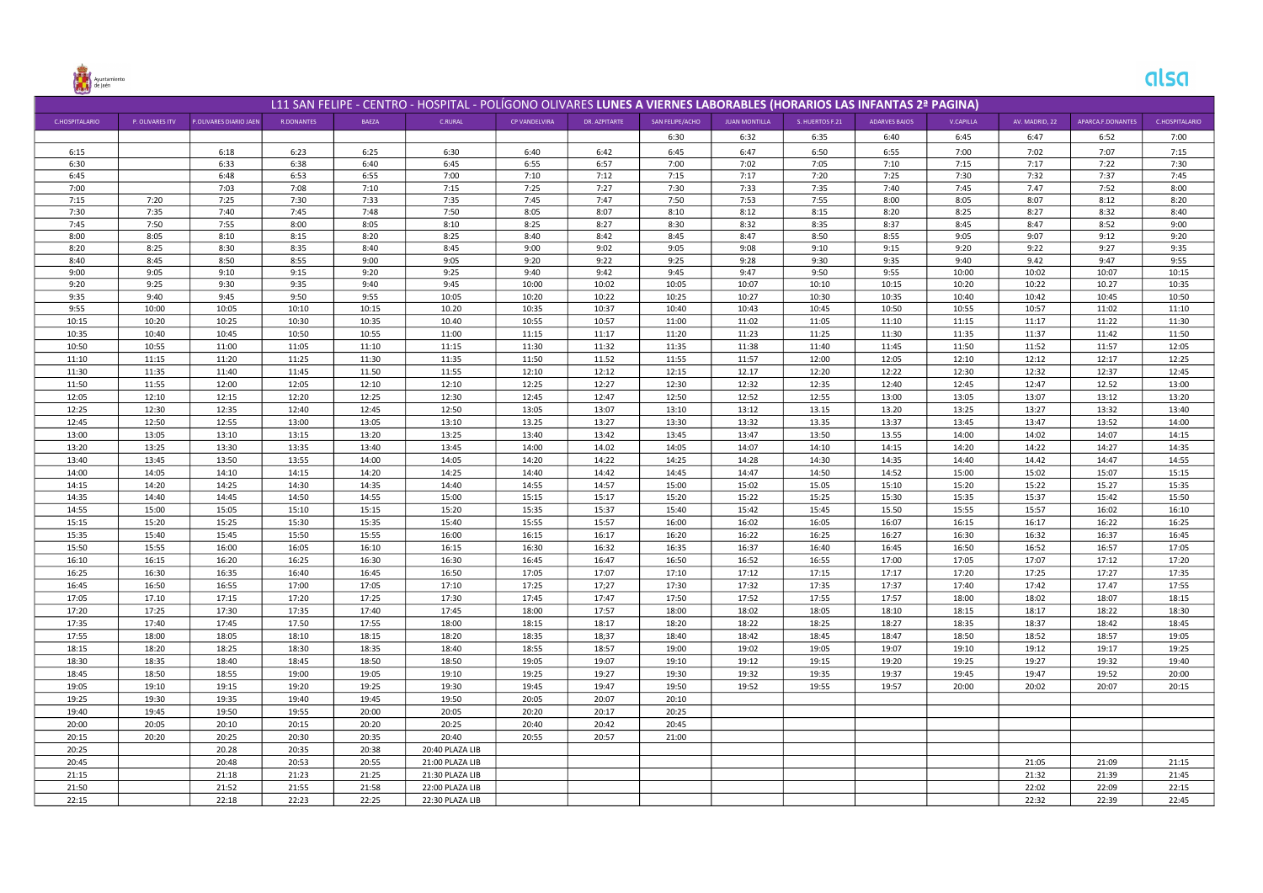

## alsa

| L11 SAN FELIPE - CENTRO - HOSPITAL - POLÍGONO OLIVARES LUNES A VIERNES LABORABLES (HORARIOS LAS INFANTAS 2ª PAGINA) |                 |                        |              |              |                 |               |               |                 |                      |                 |               |                |                |                   |                |
|---------------------------------------------------------------------------------------------------------------------|-----------------|------------------------|--------------|--------------|-----------------|---------------|---------------|-----------------|----------------------|-----------------|---------------|----------------|----------------|-------------------|----------------|
| <b>C.HOSPITALARIO</b>                                                                                               | P. OLIVARES ITV | P.OLIVARES DIARIO JAEN | R.DONANTES   | BAEZA        | C.RURAL         | CP VANDELVIRA | DR. AZPITARTE | SAN FELIPE/ACHO | <b>JUAN MONTILLA</b> | S. HUERTOS F.21 | ADARVES BAJOS | V.CAPILLA      | AV. MADRID, 22 | APARCA.F.DONANTES | C.HOSPITALARIO |
|                                                                                                                     |                 |                        |              |              |                 |               |               | 6:30            | 6:32                 | 6:35            | 6:40          | 6:45           | 6:47           | 6:52              | 7:00           |
| 6:15                                                                                                                |                 | 6:18                   | 6:23         | 6:25         | 6:30            | 6:40          | 6:42          | 6:45            | 6:47                 | 6:50            | 6:55          | 7:00           | 7:02           | 7:07              | 7:15           |
| 6:30                                                                                                                |                 | 6:33                   | 6:38         | 6:40         | 6:45            | 6:55          | 6:57          | 7:00            | 7:02                 | 7:05            | 7:10          | 7:15           | 7:17           | 7:22              | 7:30           |
| 6:45                                                                                                                |                 | 6:48                   | 6:53         | 6:55         | 7:00            | 7:10          | 7:12          | 7:15            | 7:17                 | 7:20            | 7:25          | 7:30           | 7:32           | 7:37              | 7:45           |
| 7:00                                                                                                                |                 | 7:03                   | 7:08         | 7:10         | 7:15            | 7:25          | 7:27          | 7:30            | 7:33                 | 7:35            | 7:40          | 7:45           | 7.47           | 7:52              | 8:00           |
| 7:15                                                                                                                | 7:20            | 7:25                   | 7:30         | 7:33         | 7:35            | 7:45          | 7:47          | 7:50            | 7:53                 | 7:55            | 8:00          | 8:05           | 8:07           | 8:12              | 8:20           |
| 7:30                                                                                                                | 7:35            | 7:40                   | 7:45         | 7:48         | 7:50            | 8:05          | 8:07          | 8:10            | 8:12                 | 8:15            | 8:20          | 8:25           | 8:27           | 8:32              | 8:40           |
| 7:45                                                                                                                | 7:50            | 7:55                   | 8:00         | 8:05         | 8:10            | 8:25          | 8:27          | 8:30            | 8:32                 | 8:35            | 8:37          | 8:45           | 8:47           | 8:52              | 9:00           |
| 8:00                                                                                                                | 8:05            | 8:10                   | 8:15         | 8:20         | 8:25            | 8:40          | 8:42          | 8:45            | 8:47                 | 8:50            | 8:55          | 9:05           | 9:07           | 9:12              | 9:20           |
| 8:20                                                                                                                | 8:25            | 8:30                   | 8:35         | 8:40         | 8:45            | 9:00          | 9:02          | 9:05            | 9:08                 | 9:10            | 9:15          | 9:20           | 9:22           | 9:27              | 9:35           |
| 8:40                                                                                                                | 8:45            | 8:50                   | 8:55         | 9:00         | 9:05            | 9:20          | 9:22          | 9:25            | 9:28                 | 9:30            | 9:35          | 9:40           | 9.42           | 9:47              | 9:55           |
| 9:00<br>9:20                                                                                                        | 9:05<br>9:25    | 9:10<br>9:30           | 9:15<br>9:35 | 9:20<br>9:40 | 9:25<br>9:45    | 9:40<br>10:00 | 9:42<br>10:02 | 9:45<br>10:05   | 9:47<br>10:07        | 9:50<br>10:10   | 9:55<br>10:15 | 10:00<br>10:20 | 10:02<br>10:22 | 10:07             | 10:15<br>10:35 |
| 9:35                                                                                                                | 9:40            | 9:45                   | 9:50         | 9:55         | 10:05           | 10:20         | 10:22         | 10:25           | 10:27                | 10:30           | 10:35         | 10:40          | 10:42          | 10.27<br>10:45    | 10:50          |
| 9:55                                                                                                                | 10:00           | 10:05                  | 10:10        | 10:15        | 10.20           | 10:35         | 10:37         | 10:40           | 10:43                | 10:45           | 10:50         | 10:55          | 10:57          | 11:02             | 11:10          |
| 10:15                                                                                                               | 10:20           | 10:25                  | 10:30        | 10:35        | 10.40           | 10:55         | 10:57         | 11:00           | 11:02                | 11:05           | 11:10         | 11:15          | 11:17          | 11:22             | 11:30          |
| 10:35                                                                                                               | 10:40           | 10:45                  | 10:50        | 10:55        | 11:00           | 11:15         | 11:17         | 11:20           | 11:23                | 11:25           | 11:30         | 11:35          | 11:37          | 11:42             | 11:50          |
| 10:50                                                                                                               | 10:55           | 11:00                  | 11:05        | 11:10        | 11:15           | 11:30         | 11:32         | 11:35           | 11:38                | 11:40           | 11:45         | 11:50          | 11:52          | 11:57             | 12:05          |
| 11:10                                                                                                               | 11:15           | 11:20                  | 11:25        | 11:30        | 11:35           | 11:50         | 11.52         | 11:55           | 11:57                | 12:00           | 12:05         | 12:10          | 12:12          | 12:17             | 12:25          |
| 11:30                                                                                                               | 11:35           | 11:40                  | 11:45        | 11.50        | 11:55           | 12:10         | 12:12         | 12:15           | 12.17                | 12:20           | 12:22         | 12:30          | 12:32          | 12:37             | 12:45          |
| 11:50                                                                                                               | 11:55           | 12:00                  | 12:05        | 12:10        | 12:10           | 12:25         | 12:27         | 12:30           | 12:32                | 12:35           | 12:40         | 12:45          | 12:47          | 12.52             | 13:00          |
| 12:05                                                                                                               | 12:10           | 12:15                  | 12:20        | 12:25        | 12:30           | 12:45         | 12:47         | 12:50           | 12:52                | 12:55           | 13:00         | 13:05          | 13:07          | 13:12             | 13:20          |
| 12:25                                                                                                               | 12:30           | 12:35                  | 12:40        | 12:45        | 12:50           | 13:05         | 13:07         | 13:10           | 13:12                | 13.15           | 13.20         | 13:25          | 13:27          | 13:32             | 13:40          |
| 12:45                                                                                                               | 12:50           | 12:55                  | 13:00        | 13:05        | 13:10           | 13.25         | 13:27         | 13:30           | 13:32                | 13.35           | 13:37         | 13:45          | 13:47          | 13:52             | 14:00          |
| 13:00                                                                                                               | 13:05           | 13:10                  | 13:15        | 13:20        | 13:25           | 13:40         | 13:42         | 13:45           | 13:47                | 13:50           | 13.55         | 14:00          | 14:02          | 14:07             | 14:15          |
| 13:20                                                                                                               | 13:25           | 13:30                  | 13:35        | 13:40        | 13:45           | 14:00         | 14.02         | 14:05           | 14:07                | 14:10           | 14:15         | 14:20          | 14:22          | 14:27             | 14:35          |
| 13:40                                                                                                               | 13:45           | 13:50                  | 13:55        | 14:00        | 14:05           | 14:20         | 14:22         | 14:25           | 14:28                | 14:30           | 14:35         | 14:40          | 14.42          | 14:47             | 14:55          |
| 14:00                                                                                                               | 14:05           | 14:10                  | 14:15        | 14:20        | 14:25           | 14:40         | 14:42         | 14:45           | 14:47                | 14:50           | 14:52         | 15:00          | 15:02          | 15:07             | 15:15          |
| 14:15                                                                                                               | 14:20           | 14:25                  | 14:30        | 14:35        | 14:40           | 14:55         | 14:57         | 15:00           | 15:02                | 15.05           | 15:10         | 15:20          | 15:22          | 15.27             | 15:35          |
| 14:35                                                                                                               | 14:40           | 14:45                  | 14:50        | 14:55        | 15:00           | 15:15         | 15:17         | 15:20           | 15:22                | 15:25           | 15:30         | 15:35          | 15:37          | 15:42             | 15:50          |
| 14:55                                                                                                               | 15:00           | 15:05                  | 15:10        | 15:15        | 15:20           | 15:35         | 15:37         | 15:40           | 15:42                | 15:45           | 15.50         | 15:55          | 15:57          | 16:02             | 16:10          |
| 15:15                                                                                                               | 15:20           | 15:25                  | 15:30        | 15:35        | 15:40           | 15:55         | 15:57         | 16:00           | 16:02                | 16:05           | 16:07         | 16:15          | 16:17          | 16:22             | 16:25          |
| 15:35                                                                                                               | 15:40           | 15:45                  | 15:50        | 15:55        | 16:00           | 16:15         | 16:17         | 16:20           | 16:22                | 16:25           | 16:27         | 16:30          | 16:32          | 16:37             | 16:45          |
| 15:50                                                                                                               | 15:55           | 16:00                  | 16:05        | 16:10        | 16:15           | 16:30         | 16:32         | 16:35           | 16:37                | 16:40           | 16:45         | 16:50          | 16:52          | 16:57             | 17:05          |
| 16:10                                                                                                               | 16:15           | 16:20                  | 16:25        | 16:30        | 16:30           | 16:45         | 16:47         | 16:50           | 16:52                | 16:55           | 17:00         | 17:05          | 17:07          | 17:12             | 17:20          |
| 16:25                                                                                                               | 16:30           | 16:35                  | 16:40        | 16:45        | 16:50           | 17:05         | 17:07         | 17:10           | 17:12                | 17:15           | 17:17         | 17:20          | 17:25          | 17:27             | 17:35          |
| 16:45                                                                                                               | 16:50           | 16:55                  | 17:00        | 17:05        | 17:10           | 17:25         | 17;27         | 17:30           | 17:32                | 17:35           | 17:37         | 17:40          | 17:42          | 17.47             | 17:55          |
| 17:05                                                                                                               | 17.10           | 17:15                  | 17:20        | 17:25        | 17:30           | 17:45         | 17:47         | 17:50           | 17:52                | 17:55           | 17:57         | 18:00          | 18:02          | 18:07             | 18:15          |
| 17:20                                                                                                               | 17:25           | 17:30                  | 17:35        | 17:40        | 17:45           | 18:00         | 17:57         | 18:00           | 18:02                | 18:05           | 18:10         | 18:15          | 18:17          | 18:22             | 18:30          |
| 17:35                                                                                                               | 17:40           | 17:45                  | 17.50        | 17:55        | 18:00           | 18:15         | 18:17         | 18:20           | 18:22                | 18:25           | 18:27         | 18:35          | 18:37          | 18:42             | 18:45          |
| 17:55                                                                                                               | 18:00           | 18:05                  | 18:10        | 18:15        | 18:20           | 18:35         | 18;37         | 18:40           | 18:42                | 18:45           | 18:47         | 18:50          | 18:52          | 18:57             | 19:05          |
| 18:15                                                                                                               | 18:20           | 18:25                  | 18:30        | 18:35        | 18:40           | 18:55         | 18:57         | 19:00           | 19:02                | 19:05           | 19:07         | 19:10          | 19:12          | 19:17             | 19:25          |
| 18:30                                                                                                               | 18:35           | 18:40                  | 18:45        | 18:50        | 18:50           | 19:05         | 19:07         | 19:10           | 19:12                | 19:15           | 19:20         | 19:25          | 19:27          | 19:32             | 19:40          |
| 18:45                                                                                                               | 18:50           | 18:55                  | 19:00        | 19:05        | 19:10           | 19:25         | 19:27         | 19:30           | 19:32                | 19:35           | 19:37         | 19:45          | 19:47          | 19:52             | 20:00          |
| 19:05                                                                                                               | 19:10           | 19:15                  | 19:20        | 19:25        | 19:30           | 19:45         | 19:47         | 19:50           | 19:52                | 19:55           | 19:57         | 20:00          | 20:02          | 20:07             | 20:15          |
| 19:25                                                                                                               | 19:30           | 19:35                  | 19:40        | 19:45        | 19:50           | 20:05         | 20:07         | 20:10           |                      |                 |               |                |                |                   |                |
| 19:40                                                                                                               | 19:45           | 19:50                  | 19:55        | 20:00        | 20:05           | 20:20         | 20:17         | 20:25           |                      |                 |               |                |                |                   |                |
| 20:00                                                                                                               | 20:05           | 20:10                  | 20:15        | 20:20        | 20:25           | 20:40         | 20:42         | 20:45           |                      |                 |               |                |                |                   |                |
| 20:15                                                                                                               | 20:20           | 20:25                  | 20:30        | 20:35        | 20:40           | 20:55         | 20:57         | 21:00           |                      |                 |               |                |                |                   |                |
| 20:25                                                                                                               |                 | 20.28                  | 20:35        | 20:38        | 20:40 PLAZA LIB |               |               |                 |                      |                 |               |                |                |                   |                |
| 20:45                                                                                                               |                 | 20:48                  | 20:53        | 20:55        | 21:00 PLAZA LIB |               |               |                 |                      |                 |               |                | 21:05          | 21:09             | 21:15          |
| 21:15                                                                                                               |                 | 21:18                  | 21:23        | 21:25        | 21:30 PLAZA LIB |               |               |                 |                      |                 |               |                | 21:32          | 21:39             | 21:45          |
| 21:50                                                                                                               |                 | 21:52                  | 21:55        | 21:58        | 22:00 PLAZA LIB |               |               |                 |                      |                 |               |                | 22:02          | 22:09             | 22:15          |
| 22:15                                                                                                               |                 | 22:18                  | 22:23        | 22:25        | 22:30 PLAZA LIB |               |               |                 |                      |                 |               |                | 22:32          | 22:39             | 22:45          |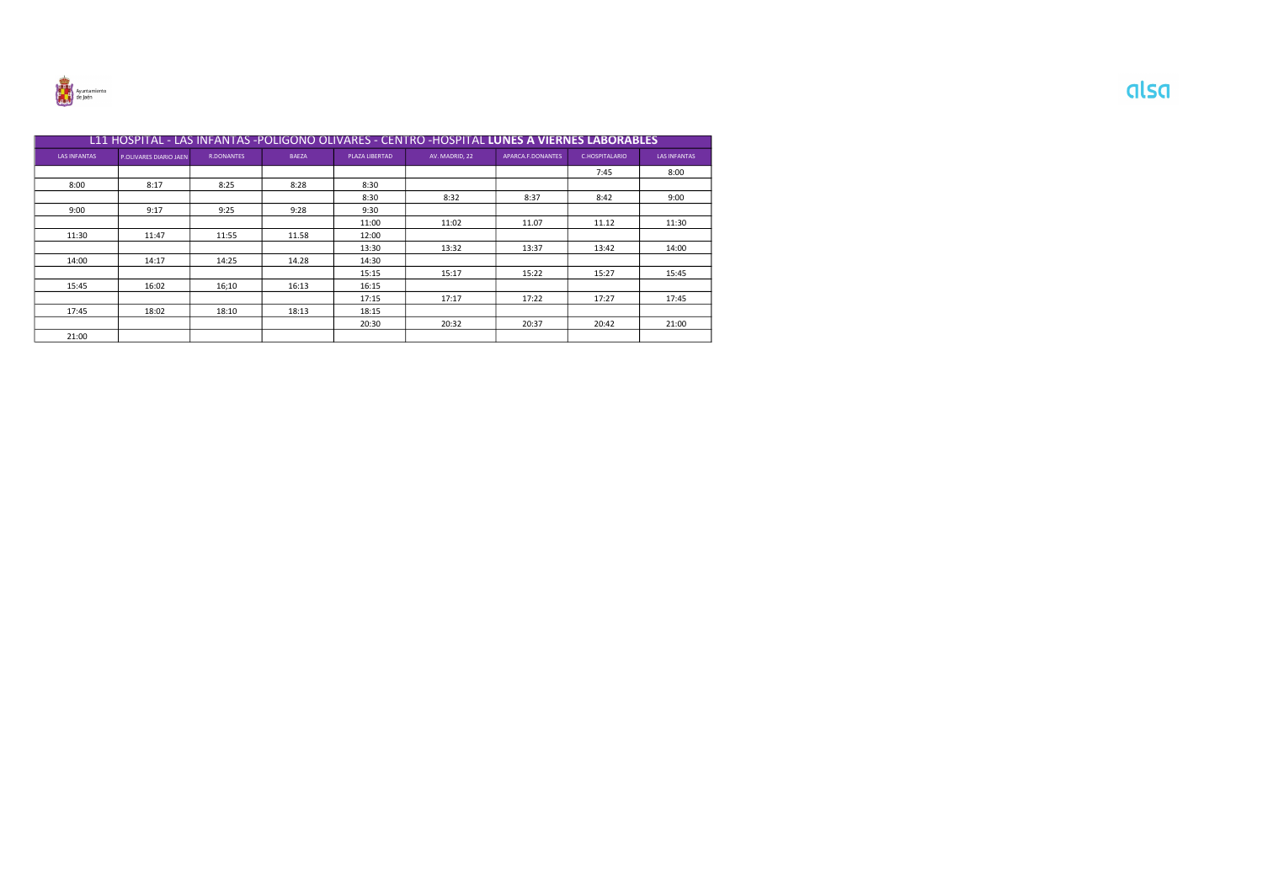

|                     | L11 HOSPITAL - LAS INFANTAS -POLIGONO OLIVARES - CENTRO -HOSPITAL <b>LUNES A VIERNES LABORABLES</b> |                   |              |                |                |                   |                |                     |  |  |  |
|---------------------|-----------------------------------------------------------------------------------------------------|-------------------|--------------|----------------|----------------|-------------------|----------------|---------------------|--|--|--|
| <b>LAS INFANTAS</b> | P.OLIVARES DIARIO JAEN                                                                              | <b>R.DONANTES</b> | <b>BAEZA</b> | PLAZA LIBERTAD | AV. MADRID, 22 | APARCA.F.DONANTES | C.HOSPITALARIO | <b>LAS INFANTAS</b> |  |  |  |
|                     |                                                                                                     |                   |              |                |                |                   | 7:45           | 8:00                |  |  |  |
| 8:00                | 8:17                                                                                                | 8:25              | 8:28         | 8:30           |                |                   |                |                     |  |  |  |
|                     |                                                                                                     |                   |              | 8:30           | 8:32           | 8:37              | 8:42           | 9:00                |  |  |  |
| 9:00                | 9:17                                                                                                | 9:25              | 9:28         | 9:30           |                |                   |                |                     |  |  |  |
|                     |                                                                                                     |                   |              | 11:00          | 11:02          | 11.07             | 11.12          | 11:30               |  |  |  |
| 11:30               | 11:47                                                                                               | 11:55             | 11.58        | 12:00          |                |                   |                |                     |  |  |  |
|                     |                                                                                                     |                   |              | 13:30          | 13:32          | 13:37             | 13:42          | 14:00               |  |  |  |
| 14:00               | 14:17                                                                                               | 14:25             | 14.28        | 14:30          |                |                   |                |                     |  |  |  |
|                     |                                                                                                     |                   |              | 15:15          | 15:17          | 15:22             | 15:27          | 15:45               |  |  |  |
| 15:45               | 16:02                                                                                               | 16;10             | 16:13        | 16:15          |                |                   |                |                     |  |  |  |
|                     |                                                                                                     |                   |              | 17:15          | 17:17          | 17:22             | 17:27          | 17:45               |  |  |  |
| 17:45               | 18:02                                                                                               | 18:10             | 18:13        | 18:15          |                |                   |                |                     |  |  |  |
|                     |                                                                                                     |                   |              | 20:30          | 20:32          | 20:37             | 20:42          | 21:00               |  |  |  |
| 21:00               |                                                                                                     |                   |              |                |                |                   |                |                     |  |  |  |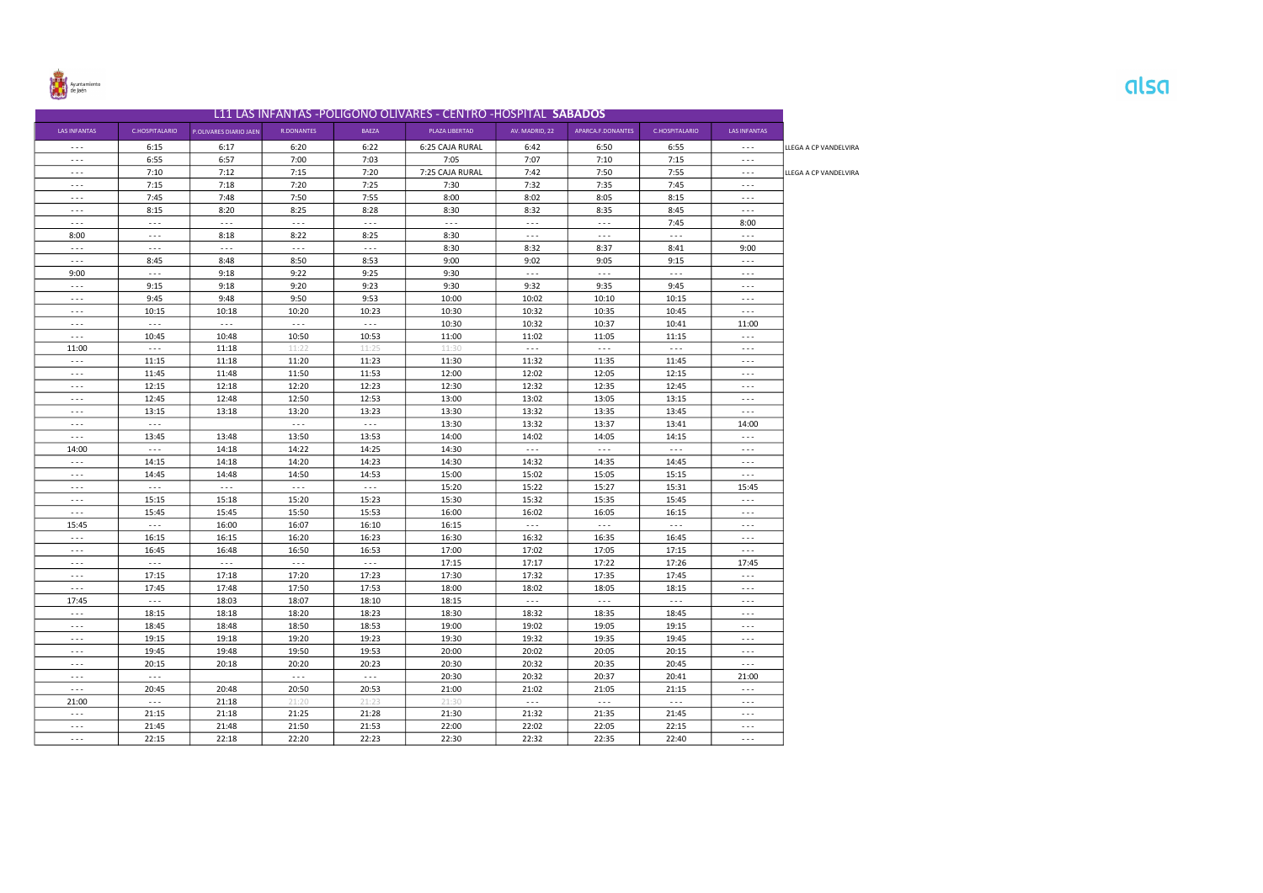

|                      |                      |                        |                      |                      | L11 LAS INFANTAS -POLIGONO OLIVARES - CENTRO -HOSPITAL SABADOS |                      |                      |                      |                      |                       |
|----------------------|----------------------|------------------------|----------------------|----------------------|----------------------------------------------------------------|----------------------|----------------------|----------------------|----------------------|-----------------------|
| <b>LAS INFANTAS</b>  | C.HOSPITALARIO       | P.OLIVARES DIARIO JAEN | <b>R.DONANTES</b>    | <b>BAEZA</b>         | PLAZA LIBERTAD                                                 | AV. MADRID, 22       | APARCA.F.DONANTES    | C.HOSPITALARIO       | <b>LAS INFANTAS</b>  |                       |
| $ -$                 | 6:15                 | 6:17                   | 6:20                 | 6:22                 | 6:25 CAJA RURAL                                                | 6:42                 | 6:50                 | 6:55                 | $\sim$ $\sim$ $\sim$ | LLEGA A CP VANDELVIRA |
| $\sim$ $\sim$ $\sim$ | 6:55                 | 6:57                   | 7:00                 | 7:03                 | 7:05                                                           | 7:07                 | 7:10                 | 7:15                 | $\sim$ $\sim$ $\sim$ |                       |
| $\sim$ $ \sim$       | 7:10                 | 7:12                   | 7:15                 | 7:20                 | 7:25 CAJA RURAL                                                | 7:42                 | 7:50                 | 7:55                 | $\sim$ $\sim$ $\sim$ | LLEGA A CP VANDELVIRA |
| $\sim$ $\sim$ $\sim$ | 7:15                 | 7:18                   | 7:20                 | 7:25                 | 7:30                                                           | 7:32                 | 7:35                 | 7:45                 | $\sim$ $\sim$ $\sim$ |                       |
| $- - -$              | 7:45                 | 7:48                   | 7:50                 | 7:55                 | 8:00                                                           | 8:02                 | 8:05                 | 8:15                 | $\sim$ $\sim$ $\sim$ |                       |
| $\sim$ $\sim$ $\sim$ | 8:15                 | 8:20                   | 8:25                 | 8:28                 | 8:30                                                           | 8:32                 | 8:35                 | 8:45                 | $\sim$ $\sim$ $\sim$ |                       |
| $\sim$ $\sim$ $\sim$ | $\sim$ $\sim$ $\sim$ | $\sim$ $\sim$ $\sim$   | $\sim$ $\sim$ $\sim$ | $\sim$ $\sim$ $\sim$ | $\sim$ $\sim$ $\sim$                                           | $\sim$ $ \sim$       | $\sim$ $\sim$ $\sim$ | 7:45                 | 8:00                 |                       |
| 8:00                 | $\sim$ $\sim$ $\sim$ | 8:18                   | 8:22                 | 8:25                 | 8:30                                                           | $\sim$ $\sim$ $\sim$ | $\sim$ $\sim$ $\sim$ | $\sim$ $\sim$        | $\sim$ $\sim$ $\sim$ |                       |
| $\sim$ $\sim$ $\sim$ | $\sim$ $\sim$ $\sim$ | $\sim$ $\sim$ $\sim$   | $\sim$ $\sim$ $\sim$ | $\sim$ $\sim$ $\sim$ | 8:30                                                           | 8:32                 | 8:37                 | 8:41                 | 9:00                 |                       |
| $\sim$ $\sim$ $\sim$ | 8:45                 | 8:48                   | 8:50                 | 8:53                 | 9:00                                                           | 9:02                 | 9:05                 | 9:15                 | $\sim$ $\sim$ $\sim$ |                       |
| 9:00                 | $\sim$ $\sim$ $\sim$ | 9:18                   | 9:22                 | 9:25                 | 9:30                                                           | $\sim$ $\sim$ $\sim$ | $\sim$ $\sim$ $\sim$ | $- - -$              | $\sim$ $\sim$ $\sim$ |                       |
| $\sim$ $\sim$ $\sim$ | 9:15                 | 9:18                   | 9:20                 | 9:23                 | 9:30                                                           | 9:32                 | 9:35                 | 9:45                 | $- - -$              |                       |
| $\sim$ $\sim$ $\sim$ | 9:45                 | 9:48                   | 9:50                 | 9:53                 | 10:00                                                          | 10:02                | 10:10                | 10:15                | $\sim$ $\sim$ $\sim$ |                       |
| $\sim$ $\sim$ $\sim$ | 10:15                | 10:18                  | 10:20                | 10:23                | 10:30                                                          | 10:32                | 10:35                | 10:45                | $\sim$ $\sim$ $\sim$ |                       |
| $\sim$ $\sim$ $\sim$ | $\sim$ $\sim$ $\sim$ | $\sim$ $\sim$ $\sim$   | $\sim$ $\sim$ $\sim$ | $\sim$ $\sim$ $\sim$ | 10:30                                                          | 10:32                | 10:37                | 10:41                | 11:00                |                       |
| $\sim$ $\sim$ $\sim$ | 10:45                | 10:48                  | 10:50                | 10:53                | 11:00                                                          | 11:02                | 11:05                | 11:15                | $\sim$ $\sim$ $\sim$ |                       |
| 11:00                | $\sim$ $\sim$ $\sim$ | 11:18                  | 11:22                | 11:25                | 11:30                                                          | $\sim$ $\sim$ $\sim$ | $\sim$ $\sim$ $\sim$ | $\sim$ $\sim$ $\sim$ | $\sim$ $\sim$ $\sim$ |                       |
| $\sim$ $\sim$ $\sim$ | 11:15                | 11:18                  | 11:20                | 11:23                | 11:30                                                          | 11:32                | 11:35                | 11:45                | $\sim$ $\sim$ $\sim$ |                       |
| $\sim$ $\sim$ $\sim$ | 11:45                | 11:48                  | 11:50                | 11:53                | 12:00                                                          | 12:02                | 12:05                | 12:15                | $\sim$ $\sim$ $\sim$ |                       |
| $\sim$ $\sim$ $\sim$ | 12:15                | 12:18                  | 12:20                | 12:23                | 12:30                                                          | 12:32                | 12:35                | 12:45                | $\sim$ $\sim$ $\sim$ |                       |
| $\sim$ $\sim$ $\sim$ | 12:45                | 12:48                  | 12:50                | 12:53                | 13:00                                                          | 13:02                | 13:05                | 13:15                | $\sim$ $\sim$ $\sim$ |                       |
| $\cdots$             | 13:15                | 13:18                  | 13:20                | 13:23                | 13:30                                                          | 13:32                | 13:35                | 13:45                | $\sim$ $\sim$ $\sim$ |                       |
| $\sim$ $\sim$ $\sim$ | $\sim$ $\sim$ $\sim$ |                        | $\sim$ $\sim$ $\sim$ | $\sim$ $\sim$ $\sim$ | 13:30                                                          | 13:32                | 13:37                | 13:41                | 14:00                |                       |
| $\sim$ $\sim$ $\sim$ | 13:45                | 13:48                  | 13:50                | 13:53                | 14:00                                                          | 14:02                | 14:05                | 14:15                | $\sim$ $\sim$ $\sim$ |                       |
| 14:00                | $\sim$ $\sim$ $\sim$ | 14:18                  | 14:22                | 14:25                | 14:30                                                          | $\sim$ $\sim$ $\sim$ | $\sim$ $\sim$ $\sim$ | $\sim$ $\sim$ $\sim$ | $\sim$ $\sim$ $\sim$ |                       |
| $\sim$ $\sim$        | 14:15                | 14:18                  | 14:20                | 14:23                | 14:30                                                          | 14:32                | 14:35                | 14:45                | $\sim$ $\sim$ $\sim$ |                       |
| $\sim$ $\sim$ $\sim$ | 14:45                | 14:48                  | 14:50                | 14:53                | 15:00                                                          | 15:02                | 15:05                | 15:15                | $\sim$ $\sim$ $\sim$ |                       |
| $\sim$ $ \sim$       | $\sim$ $\sim$ $\sim$ | $\sim$ $\sim$ $\sim$   | $- - -$              | $\sim$ $\sim$ $\sim$ | 15:20                                                          | 15:22                | 15:27                | 15:31                | 15:45                |                       |
| $\sim$ $\sim$ $\sim$ | 15:15                | 15:18                  | 15:20                | 15:23                | 15:30                                                          | 15:32                | 15:35                | 15:45                | $\sim$ $\sim$ $\sim$ |                       |
| $\sim$ $\sim$ $\sim$ | 15:45                | 15:45                  | 15:50                | 15:53                | 16:00                                                          | 16:02                | 16:05                | 16:15                | $\sim$ $\sim$ $\sim$ |                       |
| 15:45                | $\sim$ $\sim$ $\sim$ | 16:00                  | 16:07                | 16:10                | 16:15                                                          | $\sim$ $\sim$        | $\sim$ $\sim$        | $\sim$ $\sim$ $\sim$ | $\sim$ $\sim$ $\sim$ |                       |
| $\sim$ $\sim$ $\sim$ | 16:15                | 16:15                  | 16:20                | 16:23                | 16:30                                                          | 16:32                | 16:35                | 16:45                | $\sim$ $\sim$ $\sim$ |                       |
| $\cdots$             | 16:45                | 16:48                  | 16:50                | 16:53                | 17:00                                                          | 17:02                | 17:05                | 17:15                | $\sim$ $\sim$ $\sim$ |                       |
| $- - -$              | $\sim$ $\sim$ $\sim$ | $\sim$ $\sim$ $\sim$   | $\sim$ $\sim$ $\sim$ | $\sim$ $\sim$ $\sim$ | 17:15                                                          | 17:17                | 17:22                | 17:26                | 17:45                |                       |
| $\sim$ $\sim$ $\sim$ | 17:15                | 17:18                  | 17:20                | 17:23                | 17:30                                                          | 17:32                | 17:35                | 17:45                | $\sim$ $\sim$ $\sim$ |                       |
| $\sim$ $\sim$ $\sim$ | 17:45                | 17:48                  | 17:50                | 17:53                | 18:00                                                          | 18:02                | 18:05                | 18:15                | $- - -$              |                       |
| 17:45                | $\sim$ $\sim$ $\sim$ | 18:03                  | 18:07                | 18:10                | 18:15                                                          | $\sim$ $\sim$ $\sim$ | $\sim$ $\sim$ $\sim$ | $\sim$ $\sim$        | $\sim$ $\sim$ $\sim$ |                       |
| $\sim$ $\sim$ $\sim$ | 18:15                | 18:18                  | 18:20                | 18:23                | 18:30                                                          | 18:32                | 18:35                | 18:45                | $- - -$              |                       |
| $\sim$ $\sim$ $\sim$ | 18:45                | 18:48                  | 18:50                | 18:53                | 19:00                                                          | 19:02                | 19:05                | 19:15                | $- - -$              |                       |
| $- - -$              | 19:15                | 19:18                  | 19:20                | 19:23                | 19:30                                                          | 19:32                | 19:35                | 19:45                | $\sim$ $\sim$ $\sim$ |                       |
| $\sim$ $\sim$ $\sim$ | 19:45                | 19:48                  | 19:50                | 19:53                | 20:00                                                          | 20:02                | 20:05                | 20:15                | $\sim$ $\sim$ $\sim$ |                       |
| $\sim$ $\sim$ $\sim$ | 20:15                | 20:18                  | 20:20                | 20:23                | 20:30                                                          | 20:32                | 20:35                | 20:45                | $\sim$ $\sim$ $\sim$ |                       |
| $\sim$ $\sim$ $\sim$ | $\sim$ $\sim$ $\sim$ |                        | $\sim$ $\sim$ $\sim$ | $\sim$ $\sim$ $\sim$ | 20:30                                                          | 20:32                | 20:37                | 20:41                | 21:00                |                       |
| $\sim$ $\sim$ $\sim$ | 20:45                | 20:48                  | 20:50                | 20:53                | 21:00                                                          | 21:02                | 21:05                | 21:15                | $\sim$ $\sim$ $\sim$ |                       |
| 21:00                | $\ldots$             | 21:18                  | 21:20                | 21:23                | 21:30                                                          | $\ldots$             | $\ldots$             | $\sim$ $\sim$ $\sim$ | $\sim$ $\sim$ $\sim$ |                       |
| $\sim$ $\sim$ $\sim$ | 21:15                | 21:18                  | 21:25                | 21:28                | 21:30                                                          | 21:32                | 21:35                | 21:45                | $\sim$ $\sim$ $\sim$ |                       |
| $\sim$ $\sim$ $\sim$ | 21:45                | 21:48                  | 21:50                | 21:53                | 22:00                                                          | 22:02                | 22:05                | 22:15                | $\sim$ $\sim$ $\sim$ |                       |
| $\sim 100$           | 22:15                | 22:18                  | 22:20                | 22:23                | 22:30                                                          | 22:32                | 22:35                | 22:40                | $\sim$ $\sim$ $\sim$ |                       |
|                      |                      |                        |                      |                      |                                                                |                      |                      |                      |                      |                       |

## alsa